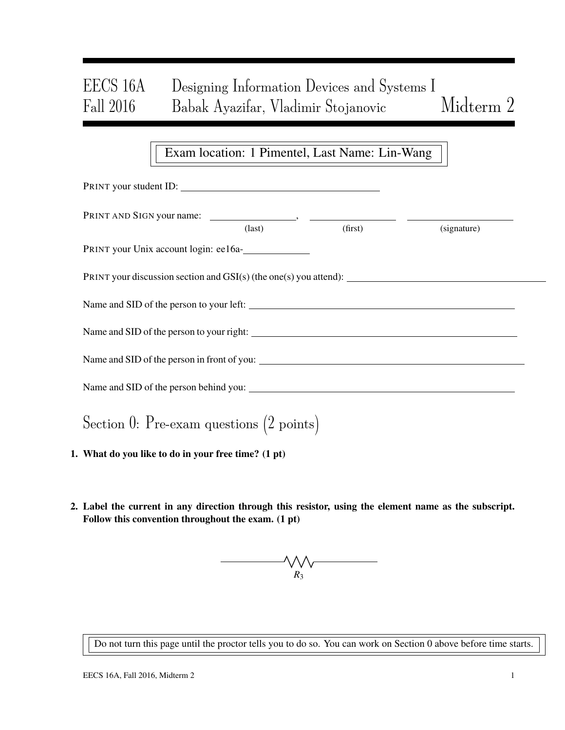# EECS 16A Designing Information Devices and Systems I Fall 2016 Babak Ayazifar, Vladimir Stojanovic Midterm 2

## Exam location: 1 Pimentel, Last Name: Lin-Wang

| PRINT your student ID:                                              |                 |         |             |  |
|---------------------------------------------------------------------|-----------------|---------|-------------|--|
|                                                                     | $\text{(last)}$ | (first) | (signature) |  |
| PRINT your Unix account login: ee16a-                               |                 |         |             |  |
| PRINT your discussion section and $GSI(s)$ (the one(s) you attend): |                 |         |             |  |
|                                                                     |                 |         |             |  |
|                                                                     |                 |         |             |  |
|                                                                     |                 |         |             |  |
|                                                                     |                 |         |             |  |
| Section 0: Pre-exam questions $(2 \text{ points})$                  |                 |         |             |  |
| 1. What do you like to do in your free time? (1 pt)                 |                 |         |             |  |

2. Label the current in any direction through this resistor, using the element name as the subscript. Follow this convention throughout the exam. (1 pt)



Do not turn this page until the proctor tells you to do so. You can work on Section 0 above before time starts.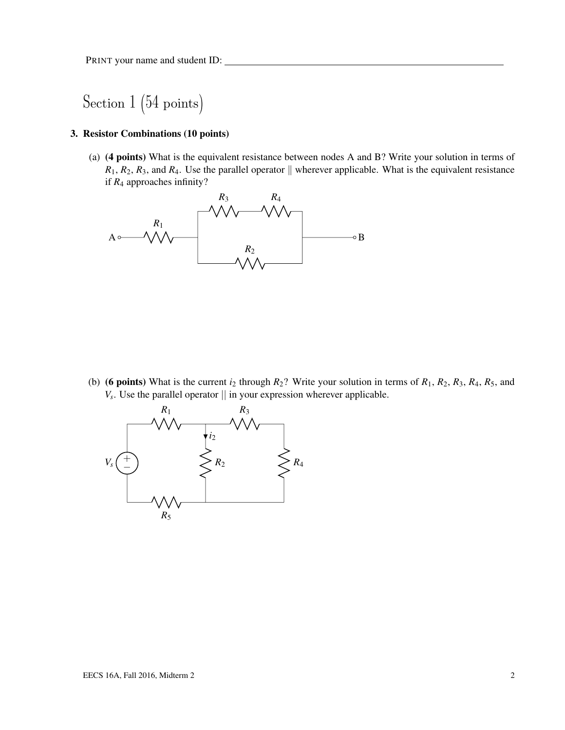## Section 1 (54 points)

#### 3. Resistor Combinations (10 points)

(a) (4 points) What is the equivalent resistance between nodes A and B? Write your solution in terms of  $R_1, R_2, R_3$ , and  $R_4$ . Use the parallel operator  $\parallel$  wherever applicable. What is the equivalent resistance if *R*<sup>4</sup> approaches infinity?



(b) (6 points) What is the current  $i_2$  through  $R_2$ ? Write your solution in terms of  $R_1$ ,  $R_2$ ,  $R_3$ ,  $R_4$ ,  $R_5$ , and  $V_s$ . Use the parallel operator  $\parallel$  in your expression wherever applicable.

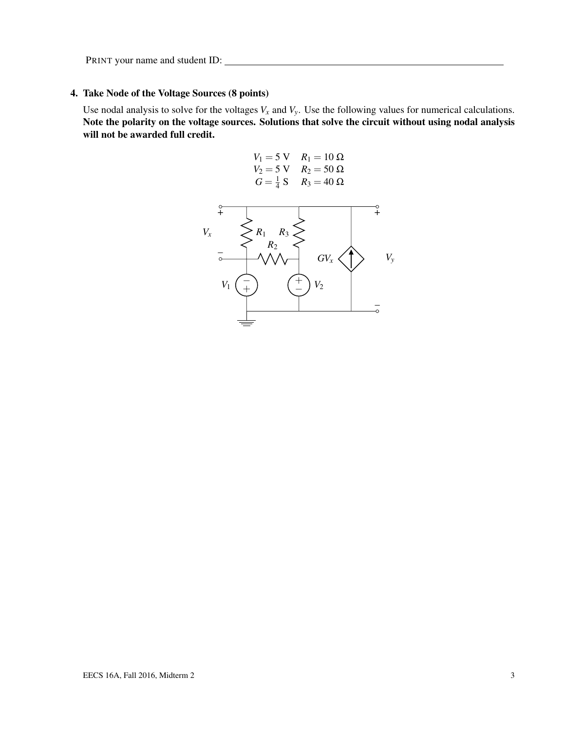## 4. Take Node of the Voltage Sources (8 points)

Use nodal analysis to solve for the voltages  $V_x$  and  $V_y$ . Use the following values for numerical calculations. Note the polarity on the voltage sources. Solutions that solve the circuit without using nodal analysis will not be awarded full credit.

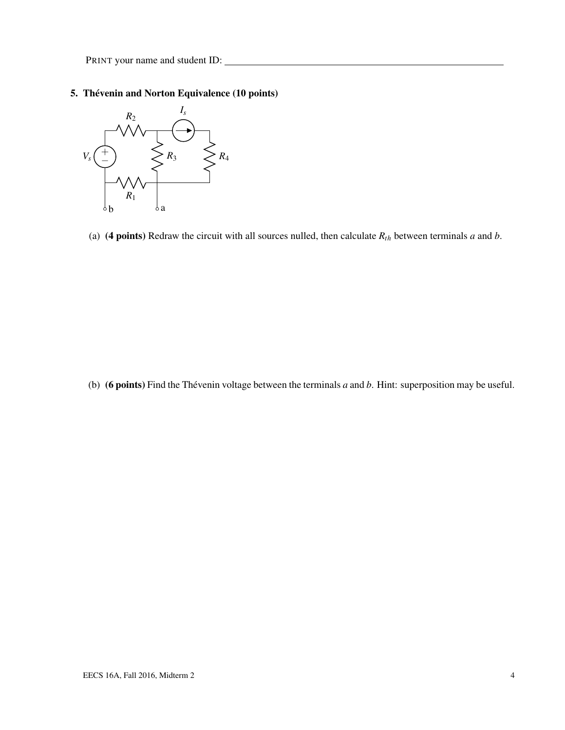### 5. Thévenin and Norton Equivalence (10 points)



(a) (4 points) Redraw the circuit with all sources nulled, then calculate  $R_{th}$  between terminals *a* and *b*.

(b) (6 points) Find the Thévenin voltage between the terminals *a* and *b*. Hint: superposition may be useful.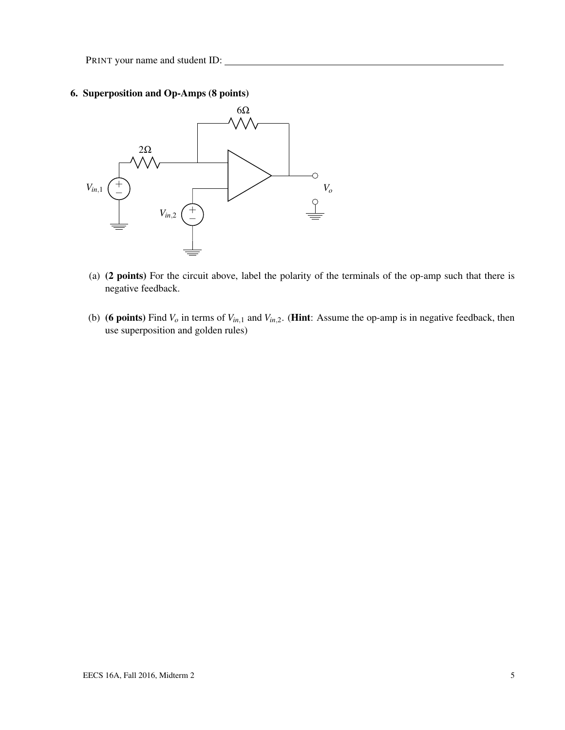### 6. Superposition and Op-Amps (8 points)



- (a) (2 points) For the circuit above, label the polarity of the terminals of the op-amp such that there is negative feedback.
- (b) (6 points) Find  $V_o$  in terms of  $V_{in,1}$  and  $V_{in,2}$ . (Hint: Assume the op-amp is in negative feedback, then use superposition and golden rules)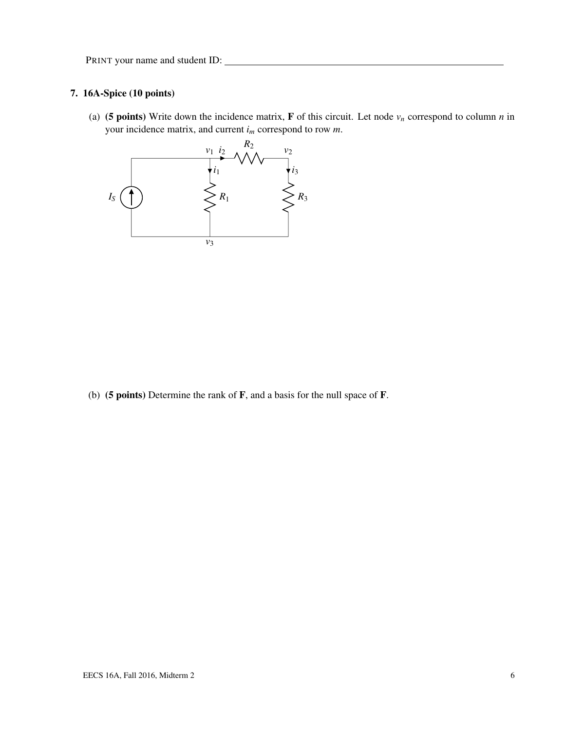### 7. 16A-Spice (10 points)

(a) (5 points) Write down the incidence matrix, **F** of this circuit. Let node  $v_n$  correspond to column *n* in your incidence matrix, and current *i<sup>m</sup>* correspond to row *m*.



(b) (5 points) Determine the rank of F, and a basis for the null space of F.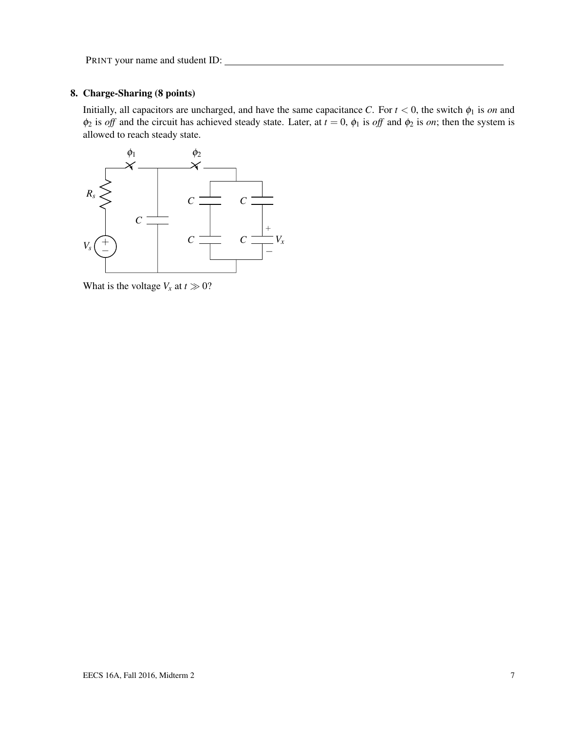#### 8. Charge-Sharing (8 points)

Initially, all capacitors are uncharged, and have the same capacitance *C*. For  $t < 0$ , the switch  $\phi_1$  is *on* and  $\phi_2$  is *off* and the circuit has achieved steady state. Later, at  $t = 0$ ,  $\phi_1$  is *off* and  $\phi_2$  is *on*; then the system is allowed to reach steady state.



What is the voltage  $V_x$  at  $t \gg 0$ ?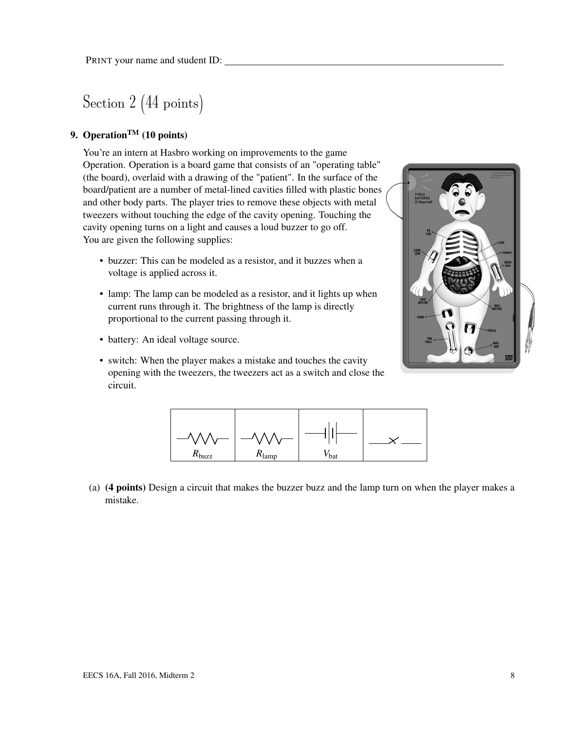Section 2 (44 points)

## 9. Operation<sup>TM</sup> (10 points)

You're an intern at Hasbro working on improvements to the game Operation. Operation is a board game that consists of an "operating table" (the board), overlaid with a drawing of the "patient". In the surface of the board/patient are a number of metal-lined cavities filled with plastic bones and other body parts. The player tries to remove these objects with metal tweezers without touching the edge of the cavity opening. Touching the cavity opening turns on a light and causes a loud buzzer to go off. You are given the following supplies:

- buzzer: This can be modeled as a resistor, and it buzzes when a voltage is applied across it.
- lamp: The lamp can be modeled as a resistor, and it lights up when current runs through it. The brightness of the lamp is directly proportional to the current passing through it.

• switch: When the player makes a mistake and touches the cavity opening with the tweezers, the tweezers act as a switch and close the

• battery: An ideal voltage source.





(a) (4 points) Design a circuit that makes the buzzer buzz and the lamp turn on when the player makes a mistake.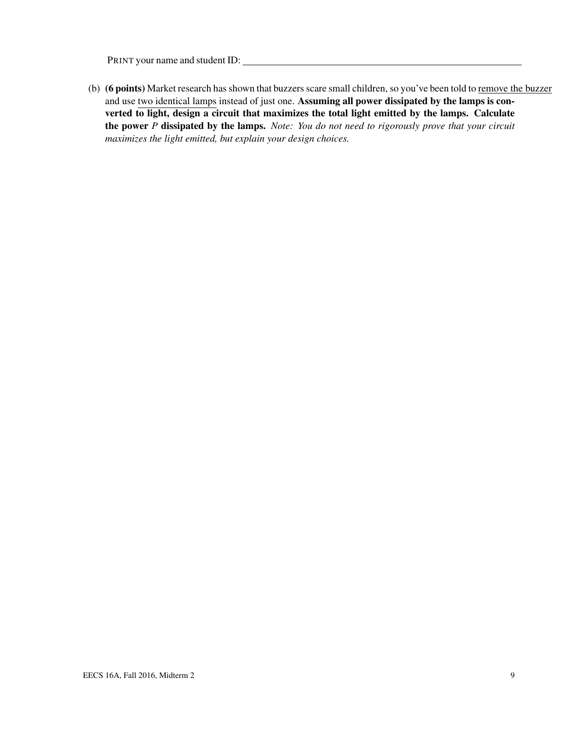(b) (6 points) Market research has shown that buzzers scare small children, so you've been told to remove the buzzer and use two identical lamps instead of just one. Assuming all power dissipated by the lamps is converted to light, design a circuit that maximizes the total light emitted by the lamps. Calculate the power *P* dissipated by the lamps. *Note: You do not need to rigorously prove that your circuit maximizes the light emitted, but explain your design choices.*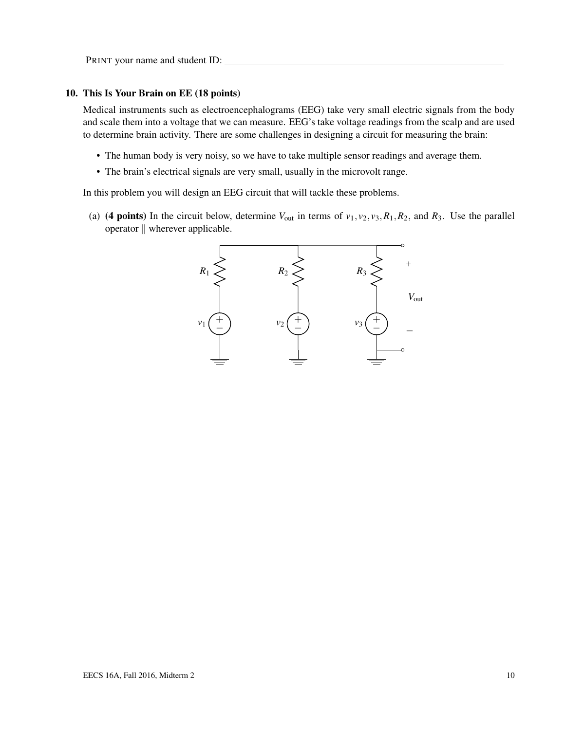#### 10. This Is Your Brain on EE (18 points)

Medical instruments such as electroencephalograms (EEG) take very small electric signals from the body and scale them into a voltage that we can measure. EEG's take voltage readings from the scalp and are used to determine brain activity. There are some challenges in designing a circuit for measuring the brain:

- The human body is very noisy, so we have to take multiple sensor readings and average them.
- The brain's electrical signals are very small, usually in the microvolt range.

In this problem you will design an EEG circuit that will tackle these problems.

(a) (4 points) In the circuit below, determine  $V_{\text{out}}$  in terms of  $v_1, v_2, v_3, R_1, R_2$ , and  $R_3$ . Use the parallel operator  $\parallel$  wherever applicable.

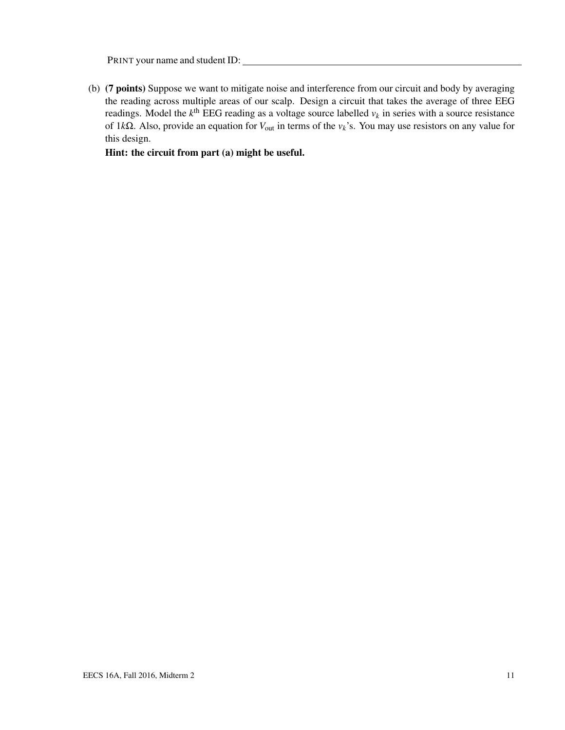(b) (7 points) Suppose we want to mitigate noise and interference from our circuit and body by averaging the reading across multiple areas of our scalp. Design a circuit that takes the average of three EEG readings. Model the  $k^{\text{th}}$  EEG reading as a voltage source labelled  $v_k$  in series with a source resistance of 1*k*Ω. Also, provide an equation for *V*out in terms of the *vk*'s. You may use resistors on any value for this design.

Hint: the circuit from part (a) might be useful.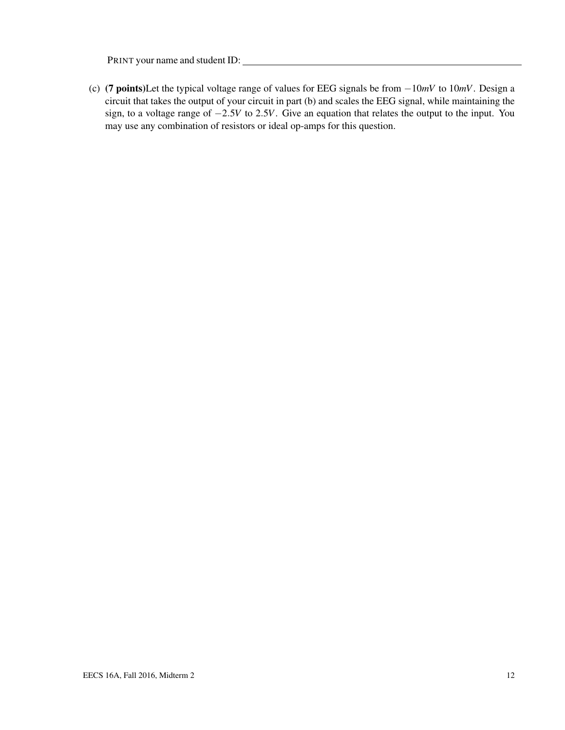(c) (7 points)Let the typical voltage range of values for EEG signals be from −10*mV* to 10*mV*. Design a circuit that takes the output of your circuit in part (b) and scales the EEG signal, while maintaining the sign, to a voltage range of −2.5*V* to 2.5*V*. Give an equation that relates the output to the input. You may use any combination of resistors or ideal op-amps for this question.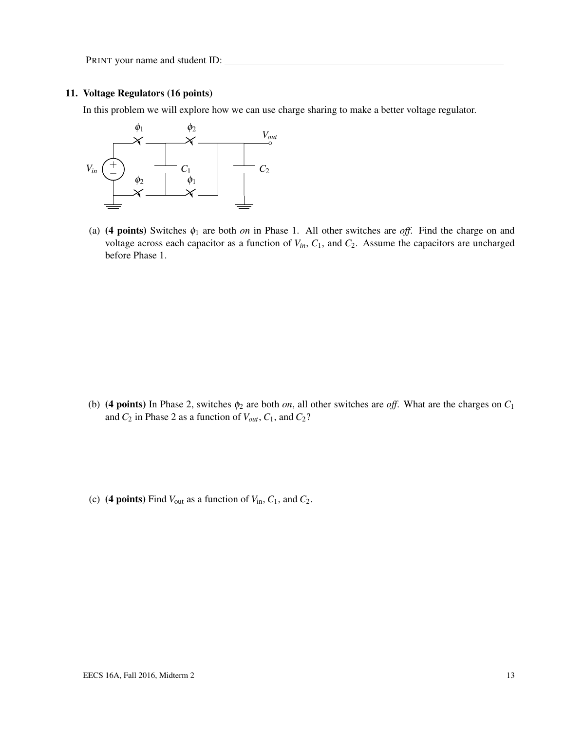#### 11. Voltage Regulators (16 points)

In this problem we will explore how we can use charge sharing to make a better voltage regulator.



(a) (4 points) Switches  $\phi_1$  are both *on* in Phase 1. All other switches are *off*. Find the charge on and voltage across each capacitor as a function of  $V_{in}$ ,  $C_1$ , and  $C_2$ . Assume the capacitors are uncharged before Phase 1.

- (b) (4 points) In Phase 2, switches  $\phi_2$  are both *on*, all other switches are *off*. What are the charges on  $C_1$ and  $C_2$  in Phase 2 as a function of  $V_{out}$ ,  $C_1$ , and  $C_2$ ?
- (c) (4 points) Find  $V_{\text{out}}$  as a function of  $V_{\text{in}}$ ,  $C_1$ , and  $C_2$ .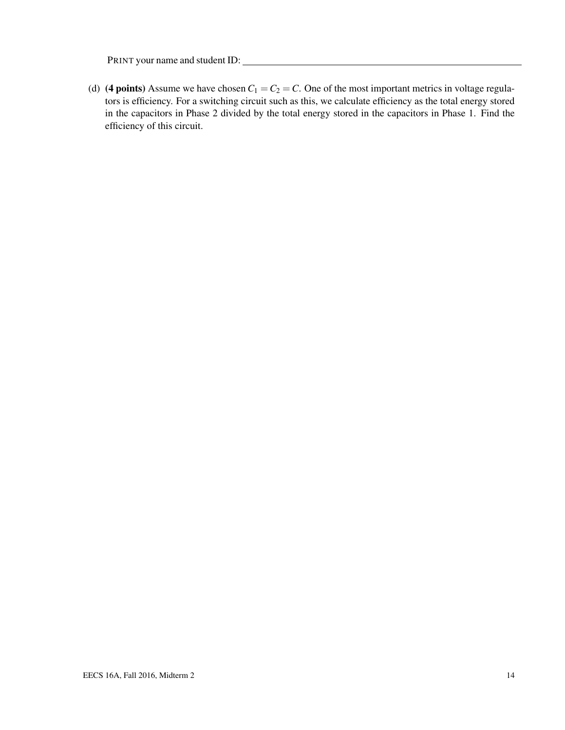(d) (4 points) Assume we have chosen  $C_1 = C_2 = C$ . One of the most important metrics in voltage regulators is efficiency. For a switching circuit such as this, we calculate efficiency as the total energy stored in the capacitors in Phase 2 divided by the total energy stored in the capacitors in Phase 1. Find the efficiency of this circuit.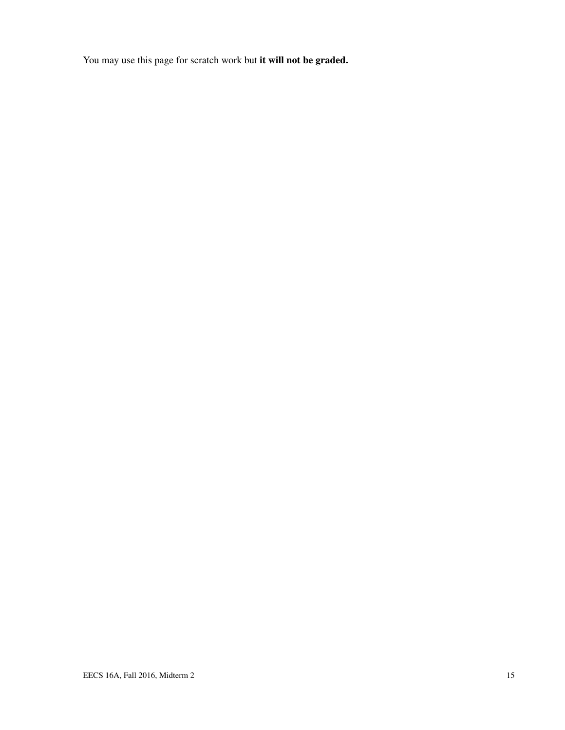You may use this page for scratch work but it will not be graded.